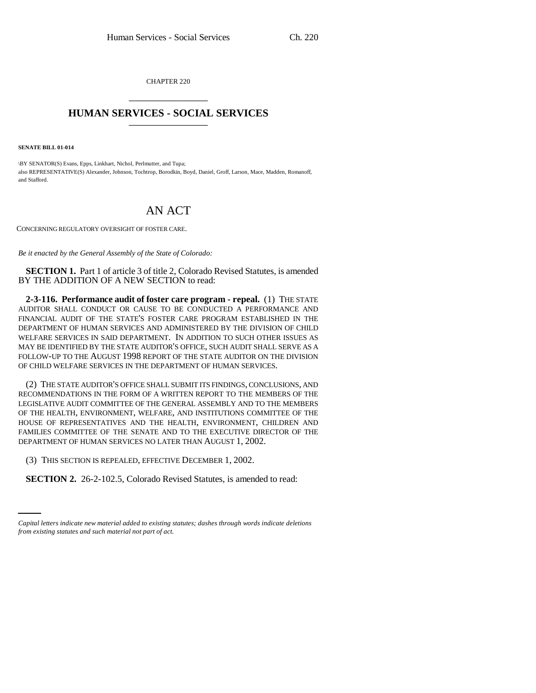CHAPTER 220 \_\_\_\_\_\_\_\_\_\_\_\_\_\_\_

## **HUMAN SERVICES - SOCIAL SERVICES** \_\_\_\_\_\_\_\_\_\_\_\_\_\_\_

**SENATE BILL 01-014**

\BY SENATOR(S) Evans, Epps, Linkhart, Nichol, Perlmutter, and Tupa; also REPRESENTATIVE(S) Alexander, Johnson, Tochtrop, Borodkin, Boyd, Daniel, Groff, Larson, Mace, Madden, Romanoff, and Stafford.

## AN ACT

CONCERNING REGULATORY OVERSIGHT OF FOSTER CARE.

*Be it enacted by the General Assembly of the State of Colorado:*

**SECTION 1.** Part 1 of article 3 of title 2, Colorado Revised Statutes, is amended BY THE ADDITION OF A NEW SECTION to read:

**2-3-116. Performance audit of foster care program - repeal.** (1) THE STATE AUDITOR SHALL CONDUCT OR CAUSE TO BE CONDUCTED A PERFORMANCE AND FINANCIAL AUDIT OF THE STATE'S FOSTER CARE PROGRAM ESTABLISHED IN THE DEPARTMENT OF HUMAN SERVICES AND ADMINISTERED BY THE DIVISION OF CHILD WELFARE SERVICES IN SAID DEPARTMENT. IN ADDITION TO SUCH OTHER ISSUES AS MAY BE IDENTIFIED BY THE STATE AUDITOR'S OFFICE, SUCH AUDIT SHALL SERVE AS A FOLLOW-UP TO THE AUGUST 1998 REPORT OF THE STATE AUDITOR ON THE DIVISION OF CHILD WELFARE SERVICES IN THE DEPARTMENT OF HUMAN SERVICES.

(2) THE STATE AUDITOR'S OFFICE SHALL SUBMIT ITS FINDINGS, CONCLUSIONS, AND RECOMMENDATIONS IN THE FORM OF A WRITTEN REPORT TO THE MEMBERS OF THE LEGISLATIVE AUDIT COMMITTEE OF THE GENERAL ASSEMBLY AND TO THE MEMBERS OF THE HEALTH, ENVIRONMENT, WELFARE, AND INSTITUTIONS COMMITTEE OF THE HOUSE OF REPRESENTATIVES AND THE HEALTH, ENVIRONMENT, CHILDREN AND FAMILIES COMMITTEE OF THE SENATE AND TO THE EXECUTIVE DIRECTOR OF THE DEPARTMENT OF HUMAN SERVICES NO LATER THAN AUGUST 1, 2002.

 $\sum_{i=1}^{n}$ (3) THIS SECTION IS REPEALED, EFFECTIVE DECEMBER 1, 2002.

**SECTION 2.** 26-2-102.5, Colorado Revised Statutes, is amended to read:

*Capital letters indicate new material added to existing statutes; dashes through words indicate deletions from existing statutes and such material not part of act.*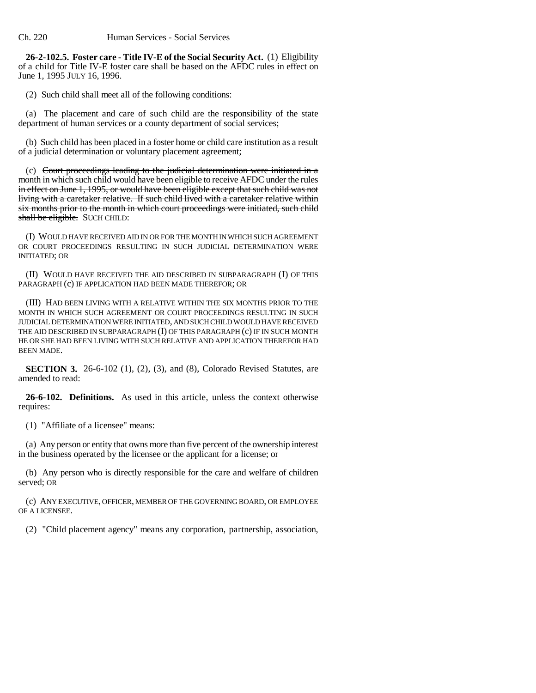**26-2-102.5. Foster care - Title IV-E of the Social Security Act.** (1) Eligibility of a child for Title IV-E foster care shall be based on the AFDC rules in effect on **June 1, 1995** JULY 16, 1996.

(2) Such child shall meet all of the following conditions:

(a) The placement and care of such child are the responsibility of the state department of human services or a county department of social services;

(b) Such child has been placed in a foster home or child care institution as a result of a judicial determination or voluntary placement agreement;

(c) Court proceedings leading to the judicial determination were initiated in a month in which such child would have been eligible to receive AFDC under the rules in effect on June 1, 1995, or would have been eligible except that such child was not living with a caretaker relative. If such child lived with a caretaker relative within six months prior to the month in which court proceedings were initiated, such child shall be eligible. SUCH CHILD:

(I) WOULD HAVE RECEIVED AID IN OR FOR THE MONTH IN WHICH SUCH AGREEMENT OR COURT PROCEEDINGS RESULTING IN SUCH JUDICIAL DETERMINATION WERE INITIATED; OR

(II) WOULD HAVE RECEIVED THE AID DESCRIBED IN SUBPARAGRAPH (I) OF THIS PARAGRAPH (c) IF APPLICATION HAD BEEN MADE THEREFOR; OR

(III) HAD BEEN LIVING WITH A RELATIVE WITHIN THE SIX MONTHS PRIOR TO THE MONTH IN WHICH SUCH AGREEMENT OR COURT PROCEEDINGS RESULTING IN SUCH JUDICIAL DETERMINATION WERE INITIATED, AND SUCH CHILD WOULD HAVE RECEIVED THE AID DESCRIBED IN SUBPARAGRAPH (I) OF THIS PARAGRAPH (c) IF IN SUCH MONTH HE OR SHE HAD BEEN LIVING WITH SUCH RELATIVE AND APPLICATION THEREFOR HAD BEEN MADE.

**SECTION 3.** 26-6-102 (1), (2), (3), and (8), Colorado Revised Statutes, are amended to read:

**26-6-102. Definitions.** As used in this article, unless the context otherwise requires:

(1) "Affiliate of a licensee" means:

(a) Any person or entity that owns more than five percent of the ownership interest in the business operated by the licensee or the applicant for a license; or

(b) Any person who is directly responsible for the care and welfare of children served; OR

(c) ANY EXECUTIVE, OFFICER, MEMBER OF THE GOVERNING BOARD, OR EMPLOYEE OF A LICENSEE.

(2) "Child placement agency" means any corporation, partnership, association,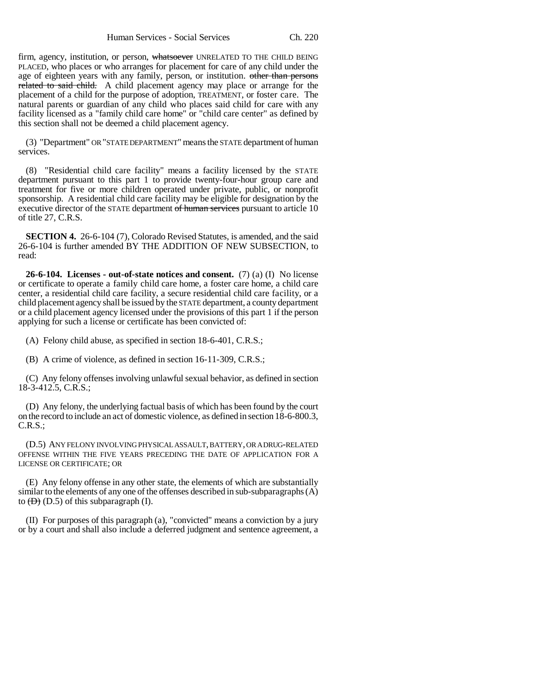firm, agency, institution, or person, whatsoever UNRELATED TO THE CHILD BEING PLACED, who places or who arranges for placement for care of any child under the age of eighteen years with any family, person, or institution. other than persons related to said child. A child placement agency may place or arrange for the placement of a child for the purpose of adoption, TREATMENT, or foster care. The natural parents or guardian of any child who places said child for care with any facility licensed as a "family child care home" or "child care center" as defined by this section shall not be deemed a child placement agency.

(3) "Department" OR "STATE DEPARTMENT" means the STATE department of human services.

(8) "Residential child care facility" means a facility licensed by the STATE department pursuant to this part 1 to provide twenty-four-hour group care and treatment for five or more children operated under private, public, or nonprofit sponsorship. A residential child care facility may be eligible for designation by the executive director of the STATE department of human services pursuant to article 10 of title 27, C.R.S.

**SECTION 4.** 26-6-104 (7), Colorado Revised Statutes, is amended, and the said 26-6-104 is further amended BY THE ADDITION OF NEW SUBSECTION, to read:

**26-6-104. Licenses - out-of-state notices and consent.** (7) (a) (I) No license or certificate to operate a family child care home, a foster care home, a child care center, a residential child care facility, a secure residential child care facility, or a child placement agency shall be issued by the STATE department, a county department or a child placement agency licensed under the provisions of this part 1 if the person applying for such a license or certificate has been convicted of:

(A) Felony child abuse, as specified in section 18-6-401, C.R.S.;

(B) A crime of violence, as defined in section 16-11-309, C.R.S.;

(C) Any felony offenses involving unlawful sexual behavior, as defined in section 18-3-412.5, C.R.S.;

(D) Any felony, the underlying factual basis of which has been found by the court on the record to include an act of domestic violence, as defined in section 18-6-800.3, C.R.S.;

(D.5) ANY FELONY INVOLVING PHYSICAL ASSAULT, BATTERY, OR A DRUG-RELATED OFFENSE WITHIN THE FIVE YEARS PRECEDING THE DATE OF APPLICATION FOR A LICENSE OR CERTIFICATE; OR

(E) Any felony offense in any other state, the elements of which are substantially similar to the elements of any one of the offenses described in sub-subparagraphs (A) to  $(\overline{D})$  (D.5) of this subparagraph (I).

(II) For purposes of this paragraph (a), "convicted" means a conviction by a jury or by a court and shall also include a deferred judgment and sentence agreement, a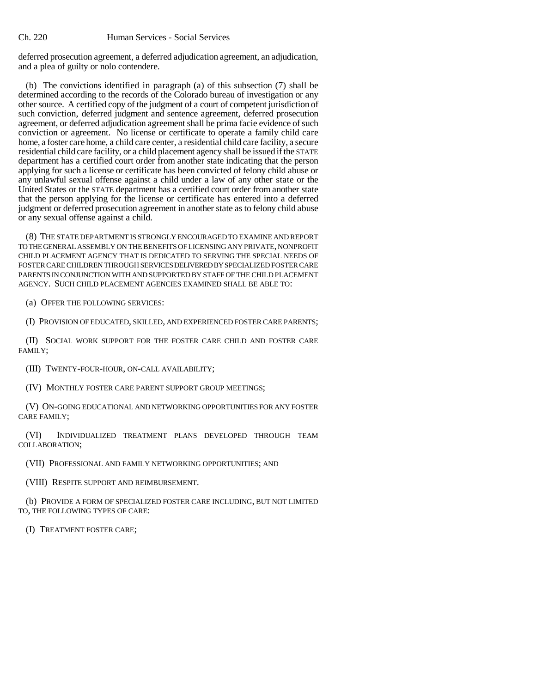deferred prosecution agreement, a deferred adjudication agreement, an adjudication, and a plea of guilty or nolo contendere.

(b) The convictions identified in paragraph (a) of this subsection (7) shall be determined according to the records of the Colorado bureau of investigation or any other source. A certified copy of the judgment of a court of competent jurisdiction of such conviction, deferred judgment and sentence agreement, deferred prosecution agreement, or deferred adjudication agreement shall be prima facie evidence of such conviction or agreement. No license or certificate to operate a family child care home, a foster care home, a child care center, a residential child care facility, a secure residential child care facility, or a child placement agency shall be issued if the STATE department has a certified court order from another state indicating that the person applying for such a license or certificate has been convicted of felony child abuse or any unlawful sexual offense against a child under a law of any other state or the United States or the STATE department has a certified court order from another state that the person applying for the license or certificate has entered into a deferred judgment or deferred prosecution agreement in another state as to felony child abuse or any sexual offense against a child.

(8) THE STATE DEPARTMENT IS STRONGLY ENCOURAGED TO EXAMINE AND REPORT TO THE GENERAL ASSEMBLY ON THE BENEFITS OF LICENSING ANY PRIVATE, NONPROFIT CHILD PLACEMENT AGENCY THAT IS DEDICATED TO SERVING THE SPECIAL NEEDS OF FOSTER CARE CHILDREN THROUGH SERVICES DELIVERED BY SPECIALIZED FOSTER CARE PARENTS IN CONJUNCTION WITH AND SUPPORTED BY STAFF OF THE CHILD PLACEMENT AGENCY. SUCH CHILD PLACEMENT AGENCIES EXAMINED SHALL BE ABLE TO:

(a) OFFER THE FOLLOWING SERVICES:

(I) PROVISION OF EDUCATED, SKILLED, AND EXPERIENCED FOSTER CARE PARENTS;

(II) SOCIAL WORK SUPPORT FOR THE FOSTER CARE CHILD AND FOSTER CARE FAMILY;

(III) TWENTY-FOUR-HOUR, ON-CALL AVAILABILITY;

(IV) MONTHLY FOSTER CARE PARENT SUPPORT GROUP MEETINGS;

(V) ON-GOING EDUCATIONAL AND NETWORKING OPPORTUNITIES FOR ANY FOSTER CARE FAMILY;

(VI) INDIVIDUALIZED TREATMENT PLANS DEVELOPED THROUGH TEAM COLLABORATION;

(VII) PROFESSIONAL AND FAMILY NETWORKING OPPORTUNITIES; AND

(VIII) RESPITE SUPPORT AND REIMBURSEMENT.

(b) PROVIDE A FORM OF SPECIALIZED FOSTER CARE INCLUDING, BUT NOT LIMITED TO, THE FOLLOWING TYPES OF CARE:

(I) TREATMENT FOSTER CARE;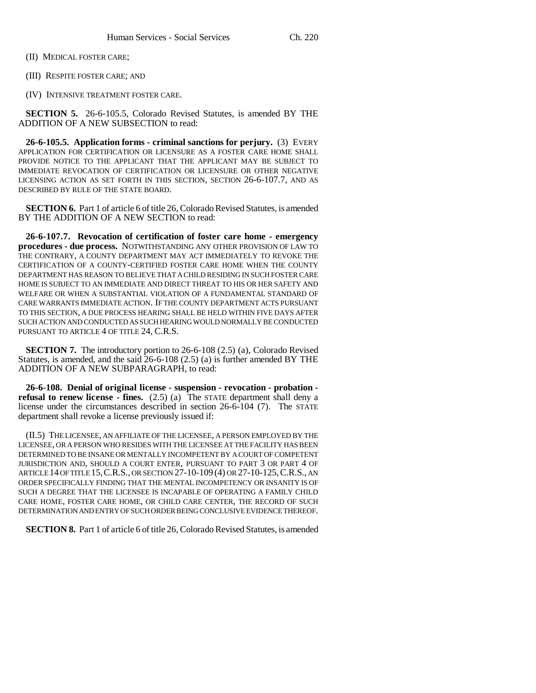(II) MEDICAL FOSTER CARE;

(III) RESPITE FOSTER CARE; AND

(IV) INTENSIVE TREATMENT FOSTER CARE.

**SECTION 5.** 26-6-105.5, Colorado Revised Statutes, is amended BY THE ADDITION OF A NEW SUBSECTION to read:

**26-6-105.5. Application forms - criminal sanctions for perjury.** (3) EVERY APPLICATION FOR CERTIFICATION OR LICENSURE AS A FOSTER CARE HOME SHALL PROVIDE NOTICE TO THE APPLICANT THAT THE APPLICANT MAY BE SUBJECT TO IMMEDIATE REVOCATION OF CERTIFICATION OR LICENSURE OR OTHER NEGATIVE LICENSING ACTION AS SET FORTH IN THIS SECTION, SECTION 26-6-107.7, AND AS DESCRIBED BY RULE OF THE STATE BOARD.

**SECTION 6.** Part 1 of article 6 of title 26, Colorado Revised Statutes, is amended BY THE ADDITION OF A NEW SECTION to read:

**26-6-107.7. Revocation of certification of foster care home - emergency procedures - due process.** NOTWITHSTANDING ANY OTHER PROVISION OF LAW TO THE CONTRARY, A COUNTY DEPARTMENT MAY ACT IMMEDIATELY TO REVOKE THE CERTIFICATION OF A COUNTY-CERTIFIED FOSTER CARE HOME WHEN THE COUNTY DEPARTMENT HAS REASON TO BELIEVE THAT A CHILD RESIDING IN SUCH FOSTER CARE HOME IS SUBJECT TO AN IMMEDIATE AND DIRECT THREAT TO HIS OR HER SAFETY AND WELFARE OR WHEN A SUBSTANTIAL VIOLATION OF A FUNDAMENTAL STANDARD OF CARE WARRANTS IMMEDIATE ACTION. IF THE COUNTY DEPARTMENT ACTS PURSUANT TO THIS SECTION, A DUE PROCESS HEARING SHALL BE HELD WITHIN FIVE DAYS AFTER SUCH ACTION AND CONDUCTED AS SUCH HEARING WOULD NORMALLY BE CONDUCTED PURSUANT TO ARTICLE 4 OF TITLE 24, C.R.S.

**SECTION 7.** The introductory portion to 26-6-108 (2.5) (a), Colorado Revised Statutes, is amended, and the said 26-6-108 (2.5) (a) is further amended BY THE ADDITION OF A NEW SUBPARAGRAPH, to read:

**26-6-108. Denial of original license - suspension - revocation - probation refusal to renew license - fines.** (2.5) (a) The STATE department shall deny a license under the circumstances described in section 26-6-104 (7). The STATE department shall revoke a license previously issued if:

(II.5) THE LICENSEE, AN AFFILIATE OF THE LICENSEE, A PERSON EMPLOYED BY THE LICENSEE, OR A PERSON WHO RESIDES WITH THE LICENSEE AT THE FACILITY HAS BEEN DETERMINED TO BE INSANE OR MENTALLY INCOMPETENT BY A COURT OF COMPETENT JURISDICTION AND, SHOULD A COURT ENTER, PURSUANT TO PART 3 OR PART 4 OF ARTICLE 14 OF TITLE 15,C.R.S., OR SECTION 27-10-109 (4) OR 27-10-125,C.R.S., AN ORDER SPECIFICALLY FINDING THAT THE MENTAL INCOMPETENCY OR INSANITY IS OF SUCH A DEGREE THAT THE LICENSEE IS INCAPABLE OF OPERATING A FAMILY CHILD CARE HOME, FOSTER CARE HOME, OR CHILD CARE CENTER, THE RECORD OF SUCH DETERMINATION AND ENTRY OF SUCH ORDER BEING CONCLUSIVE EVIDENCE THEREOF.

**SECTION 8.** Part 1 of article 6 of title 26, Colorado Revised Statutes, is amended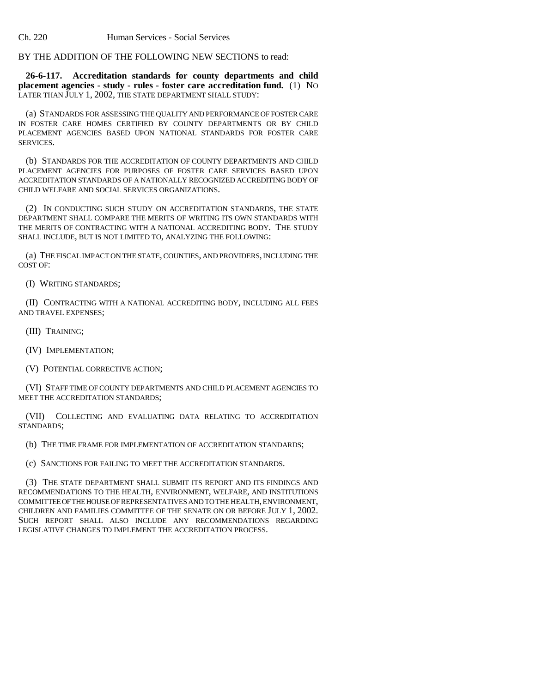Ch. 220 Human Services - Social Services

BY THE ADDITION OF THE FOLLOWING NEW SECTIONS to read:

**26-6-117. Accreditation standards for county departments and child placement agencies - study - rules - foster care accreditation fund.** (1) NO LATER THAN JULY 1, 2002, THE STATE DEPARTMENT SHALL STUDY:

(a) STANDARDS FOR ASSESSING THE QUALITY AND PERFORMANCE OF FOSTER CARE IN FOSTER CARE HOMES CERTIFIED BY COUNTY DEPARTMENTS OR BY CHILD PLACEMENT AGENCIES BASED UPON NATIONAL STANDARDS FOR FOSTER CARE SERVICES.

(b) STANDARDS FOR THE ACCREDITATION OF COUNTY DEPARTMENTS AND CHILD PLACEMENT AGENCIES FOR PURPOSES OF FOSTER CARE SERVICES BASED UPON ACCREDITATION STANDARDS OF A NATIONALLY RECOGNIZED ACCREDITING BODY OF CHILD WELFARE AND SOCIAL SERVICES ORGANIZATIONS.

(2) IN CONDUCTING SUCH STUDY ON ACCREDITATION STANDARDS, THE STATE DEPARTMENT SHALL COMPARE THE MERITS OF WRITING ITS OWN STANDARDS WITH THE MERITS OF CONTRACTING WITH A NATIONAL ACCREDITING BODY. THE STUDY SHALL INCLUDE, BUT IS NOT LIMITED TO, ANALYZING THE FOLLOWING:

(a) THE FISCAL IMPACT ON THE STATE, COUNTIES, AND PROVIDERS, INCLUDING THE COST OF:

(I) WRITING STANDARDS;

(II) CONTRACTING WITH A NATIONAL ACCREDITING BODY, INCLUDING ALL FEES AND TRAVEL EXPENSES;

(III) TRAINING;

(IV) IMPLEMENTATION;

(V) POTENTIAL CORRECTIVE ACTION;

(VI) STAFF TIME OF COUNTY DEPARTMENTS AND CHILD PLACEMENT AGENCIES TO MEET THE ACCREDITATION STANDARDS;

(VII) COLLECTING AND EVALUATING DATA RELATING TO ACCREDITATION STANDARDS;

(b) THE TIME FRAME FOR IMPLEMENTATION OF ACCREDITATION STANDARDS;

(c) SANCTIONS FOR FAILING TO MEET THE ACCREDITATION STANDARDS.

(3) THE STATE DEPARTMENT SHALL SUBMIT ITS REPORT AND ITS FINDINGS AND RECOMMENDATIONS TO THE HEALTH, ENVIRONMENT, WELFARE, AND INSTITUTIONS COMMITTEE OF THE HOUSE OF REPRESENTATIVES AND TO THE HEALTH, ENVIRONMENT, CHILDREN AND FAMILIES COMMITTEE OF THE SENATE ON OR BEFORE JULY 1, 2002. SUCH REPORT SHALL ALSO INCLUDE ANY RECOMMENDATIONS REGARDING LEGISLATIVE CHANGES TO IMPLEMENT THE ACCREDITATION PROCESS.